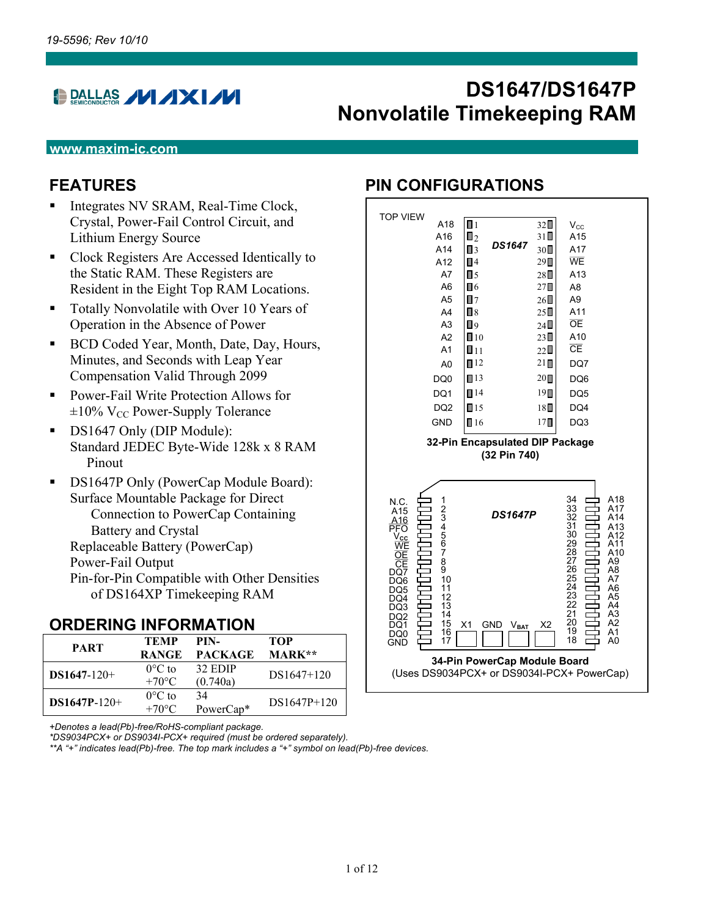# **DRALLAS / / / XI//**

# **DS1647/DS1647P Nonvolatile Timekeeping RAM**

#### **www.maxim-ic.com**

## **FEATURES**

- Integrates NV SRAM, Real-Time Clock, Crystal, Power-Fail Control Circuit, and Lithium Energy Source
- Clock Registers Are Accessed Identically to the Static RAM. These Registers are Resident in the Eight Top RAM Locations.
- **Totally Nonvolatile with Over 10 Years of** Operation in the Absence of Power
- BCD Coded Year, Month, Date, Day, Hours, Minutes, and Seconds with Leap Year Compensation Valid Through 2099
- Power-Fail Write Protection Allows for  $\pm 10\%$  V<sub>CC</sub> Power-Supply Tolerance
- DS1647 Only (DIP Module): Standard JEDEC Byte-Wide 128k x 8 RAM Pinout
- **DS1647P Only (PowerCap Module Board):** Surface Mountable Package for Direct Connection to PowerCap Containing Battery and Crystal Replaceable Battery (PowerCap) Power-Fail Output Pin-for-Pin Compatible with Other Densities of DS164XP Timekeeping RAM

#### **ORDERING INFORMATION**

| <b>PART</b>    | <b>TEMP</b>      | PIN-                  | TOP           |
|----------------|------------------|-----------------------|---------------|
|                | <b>RANGE</b>     | <b>PACKAGE</b>        | <b>MARK**</b> |
| $DS1647-120+$  | $0^{\circ}$ C to | 32 EDIP               | $DS1647+120$  |
|                | $+70^{\circ}$ C  | (0.740a)              |               |
|                | $0^{\circ}$ C to | 34                    | $DS1647P+120$ |
| $DS1647P-120+$ | $+70^{\circ}$ C  | PowerCap <sup>*</sup> |               |

*+Denotes a lead(Pb)-free/RoHS-compliant package.* 

*\*DS9034PCX+ or DS9034I-PCX+ required (must be ordered separately).* 

*\*\*A "+" indicates lead(Pb)-free. The top mark includes a "+" symbol on lead(Pb)-free devices.*

#### **PIN CONFIGURATIONS**

| <b>TOP VIEW</b><br>A18                                                                                                                                                                                                         | $\Box$ 1                                               | $32\square$      | $V_{CC}$                                                                                                                                                                                                                    |  |  |  |  |
|--------------------------------------------------------------------------------------------------------------------------------------------------------------------------------------------------------------------------------|--------------------------------------------------------|------------------|-----------------------------------------------------------------------------------------------------------------------------------------------------------------------------------------------------------------------------|--|--|--|--|
| A16                                                                                                                                                                                                                            | Π٥                                                     | $31\Box$         | A15                                                                                                                                                                                                                         |  |  |  |  |
| A14                                                                                                                                                                                                                            | <b>DS1647</b><br>$\Box$ 3                              | $30\square$      | A17                                                                                                                                                                                                                         |  |  |  |  |
| A12                                                                                                                                                                                                                            | $\blacksquare$ 4                                       | 29□              | WE                                                                                                                                                                                                                          |  |  |  |  |
| A7                                                                                                                                                                                                                             | $\blacksquare$ 5                                       | $28\square$      | A13                                                                                                                                                                                                                         |  |  |  |  |
| A6                                                                                                                                                                                                                             | П6                                                     | $27\square$      | A8                                                                                                                                                                                                                          |  |  |  |  |
| A5                                                                                                                                                                                                                             | $\blacksquare$                                         | $26\square$      | A <sub>9</sub>                                                                                                                                                                                                              |  |  |  |  |
| A4                                                                                                                                                                                                                             | $\Box$ 8                                               | $25\square$      | A11                                                                                                                                                                                                                         |  |  |  |  |
| A <sub>3</sub>                                                                                                                                                                                                                 | ۵ [                                                    | $24\square$      | <b>OE</b>                                                                                                                                                                                                                   |  |  |  |  |
| A2                                                                                                                                                                                                                             | $\Box$ 10                                              | $23\square$      | A10<br>$\overline{\text{CE}}$                                                                                                                                                                                               |  |  |  |  |
| A <sub>1</sub>                                                                                                                                                                                                                 | Ⅱ11                                                    | $22\Box$         |                                                                                                                                                                                                                             |  |  |  |  |
| A <sub>0</sub>                                                                                                                                                                                                                 | $\blacksquare$ 12                                      | $21 \square$     | DQ7                                                                                                                                                                                                                         |  |  |  |  |
| DQ <sub>0</sub>                                                                                                                                                                                                                | $\blacksquare$ 13                                      | $20\blacksquare$ | DQ6                                                                                                                                                                                                                         |  |  |  |  |
| DQ1                                                                                                                                                                                                                            | $\P14$                                                 | $19\blacksquare$ | DQ <sub>5</sub>                                                                                                                                                                                                             |  |  |  |  |
| DQ <sub>2</sub>                                                                                                                                                                                                                | $\blacksquare$ 15                                      | $18\square$      | DQ4                                                                                                                                                                                                                         |  |  |  |  |
| <b>GND</b>                                                                                                                                                                                                                     | $\blacksquare$ 16                                      | 17П              | DQ3                                                                                                                                                                                                                         |  |  |  |  |
|                                                                                                                                                                                                                                | 32-Pin Encapsulated DIP Package<br>(32 Pin 740)        |                  |                                                                                                                                                                                                                             |  |  |  |  |
| 1<br>N.C.<br>234567<br>A15<br>$\frac{A16}{PFO}$<br>$\frac{V_{\rm CC}}{V_{\rm CC}}$<br>WE<br>8<br>9<br>СE<br>DQ7<br>10<br>DQ6<br>11<br>DQ5<br>12<br>DQ4<br>13<br>DQ3<br>14<br>DQ2<br>15<br>DQ1<br>16<br>DQ0<br>17<br><b>GND</b> | <b>DS1647P</b><br>X1<br><b>GND</b><br>$V_{\text{BAT}}$ | X <sub>2</sub>   | 34<br>A18<br>33<br>A17<br>32<br>A14<br>31<br>A13<br>30<br>A12<br>29<br>A11<br>28<br>27<br>A10<br>A9<br>26<br>25<br>A8<br>A7<br>24<br>23<br>A6<br>A5<br>22<br>A4<br>21<br>A3<br>20<br>A <sub>2</sub><br>19<br>A1<br>18<br>A0 |  |  |  |  |
| 34-Pin PowerCap Module Board<br>(Uses DS9034PCX+ or DS9034I-PCX+ PowerCap)                                                                                                                                                     |                                                        |                  |                                                                                                                                                                                                                             |  |  |  |  |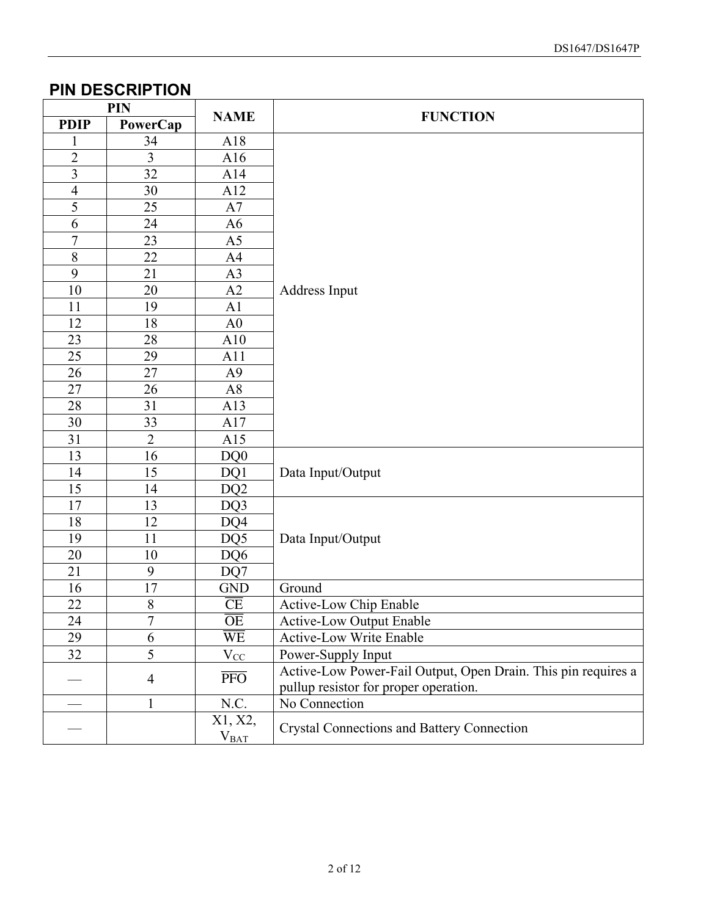### **PIN DESCRIPTION**

| <b>PIN</b>              |                |                         |                                                                                                        |  |  |
|-------------------------|----------------|-------------------------|--------------------------------------------------------------------------------------------------------|--|--|
| <b>PDIP</b>             | PowerCap       | <b>NAME</b>             | <b>FUNCTION</b>                                                                                        |  |  |
|                         | 34             | A18                     |                                                                                                        |  |  |
| $\overline{2}$          | 3              | A16                     |                                                                                                        |  |  |
| $\overline{\mathbf{3}}$ | 32             | A14                     |                                                                                                        |  |  |
| $\overline{4}$          | 30             | A12                     |                                                                                                        |  |  |
| 5                       | 25             | A7                      |                                                                                                        |  |  |
| 6                       | 24             | A <sub>6</sub>          |                                                                                                        |  |  |
| $\overline{7}$          | 23             | A <sub>5</sub>          |                                                                                                        |  |  |
| $\overline{8}$          | 22             | A4                      |                                                                                                        |  |  |
| $\overline{9}$          | 21             | A <sub>3</sub>          |                                                                                                        |  |  |
| $10\,$                  | 20             | A2                      | Address Input                                                                                          |  |  |
| 11                      | 19             | A <sub>1</sub>          |                                                                                                        |  |  |
| 12                      | 18             | A <sub>0</sub>          |                                                                                                        |  |  |
| 23                      | 28             | A10                     |                                                                                                        |  |  |
| 25                      | 29             | A11                     |                                                                                                        |  |  |
| 26                      | 27             | A <sup>9</sup>          |                                                                                                        |  |  |
| 27                      | 26             | A8                      |                                                                                                        |  |  |
| 28                      | 31             | A13                     |                                                                                                        |  |  |
| 30                      | 33             | A17                     |                                                                                                        |  |  |
| 31                      | $\overline{2}$ | A15                     |                                                                                                        |  |  |
| 13                      | 16             | DQ0                     |                                                                                                        |  |  |
| 14                      | 15             | DQ1                     | Data Input/Output                                                                                      |  |  |
| 15                      | 14             | DQ <sub>2</sub>         |                                                                                                        |  |  |
| 17                      | 13             | DQ3                     |                                                                                                        |  |  |
| 18                      | 12             | DQ4                     |                                                                                                        |  |  |
| 19                      | 11             | DQ5                     | Data Input/Output                                                                                      |  |  |
| 20                      | 10             | DQ6                     |                                                                                                        |  |  |
| 21                      | 9              | DQ7                     |                                                                                                        |  |  |
| 16                      | 17             | <b>GND</b>              | Ground                                                                                                 |  |  |
| 22                      | $8\,$          | $\overline{\text{CE}}$  | Active-Low Chip Enable                                                                                 |  |  |
| 24                      | $\mathbf{r}$   | $\overline{OE}$         | <b>Active-Low Output Enable</b>                                                                        |  |  |
| 29                      | 6              | $\overline{\text{WE}}$  | <b>Active-Low Write Enable</b>                                                                         |  |  |
| 32                      | 5              | $V_{CC}$                | Power-Supply Input                                                                                     |  |  |
|                         | $\overline{4}$ | $\overline{\text{PFO}}$ | Active-Low Power-Fail Output, Open Drain. This pin requires a<br>pullup resistor for proper operation. |  |  |
|                         | 1              | N.C.                    | No Connection                                                                                          |  |  |
|                         |                | X1, X2,<br>$V_{BAT}$    | <b>Crystal Connections and Battery Connection</b>                                                      |  |  |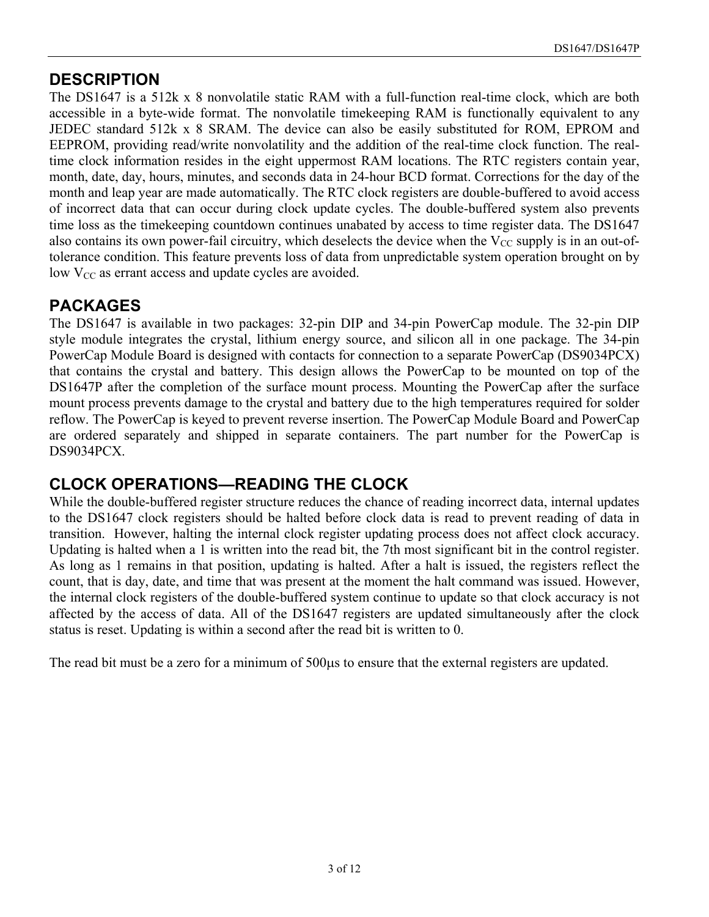#### **DESCRIPTION**

The DS1647 is a 512k x 8 nonvolatile static RAM with a full-function real-time clock, which are both accessible in a byte-wide format. The nonvolatile timekeeping RAM is functionally equivalent to any JEDEC standard 512k x 8 SRAM. The device can also be easily substituted for ROM, EPROM and EEPROM, providing read/write nonvolatility and the addition of the real-time clock function. The realtime clock information resides in the eight uppermost RAM locations. The RTC registers contain year, month, date, day, hours, minutes, and seconds data in 24-hour BCD format. Corrections for the day of the month and leap year are made automatically. The RTC clock registers are double-buffered to avoid access of incorrect data that can occur during clock update cycles. The double-buffered system also prevents time loss as the timekeeping countdown continues unabated by access to time register data. The DS1647 also contains its own power-fail circuitry, which deselects the device when the  $V_{CC}$  supply is in an out-oftolerance condition. This feature prevents loss of data from unpredictable system operation brought on by low  $V_{CC}$  as errant access and update cycles are avoided.

## **PACKAGES**

The DS1647 is available in two packages: 32-pin DIP and 34-pin PowerCap module. The 32-pin DIP style module integrates the crystal, lithium energy source, and silicon all in one package. The 34-pin PowerCap Module Board is designed with contacts for connection to a separate PowerCap (DS9034PCX) that contains the crystal and battery. This design allows the PowerCap to be mounted on top of the DS1647P after the completion of the surface mount process. Mounting the PowerCap after the surface mount process prevents damage to the crystal and battery due to the high temperatures required for solder reflow. The PowerCap is keyed to prevent reverse insertion. The PowerCap Module Board and PowerCap are ordered separately and shipped in separate containers. The part number for the PowerCap is DS9034PCX.

#### **CLOCK OPERATIONS—READING THE CLOCK**

While the double-buffered register structure reduces the chance of reading incorrect data, internal updates to the DS1647 clock registers should be halted before clock data is read to prevent reading of data in transition. However, halting the internal clock register updating process does not affect clock accuracy. Updating is halted when a 1 is written into the read bit, the 7th most significant bit in the control register. As long as 1 remains in that position, updating is halted. After a halt is issued, the registers reflect the count, that is day, date, and time that was present at the moment the halt command was issued. However, the internal clock registers of the double-buffered system continue to update so that clock accuracy is not affected by the access of data. All of the DS1647 registers are updated simultaneously after the clock status is reset. Updating is within a second after the read bit is written to 0.

The read bit must be a zero for a minimum of 500µs to ensure that the external registers are updated.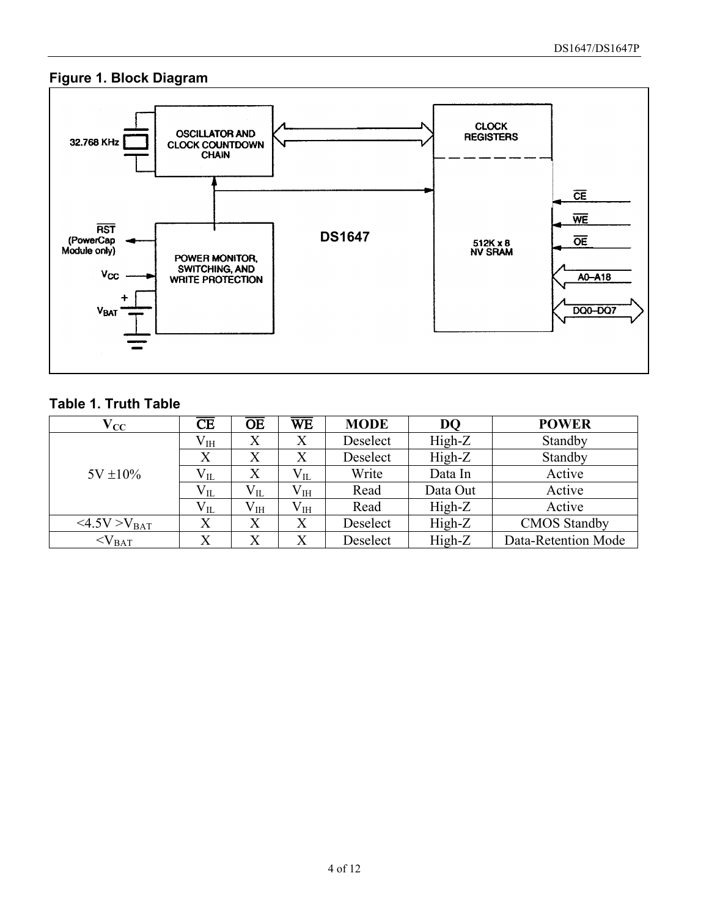#### **Figure 1. Block Diagram**



#### **Table 1. Truth Table**

| $\rm V_{CC}$           | $\overline{\text{CE}}$ | $\overline{\text{OE}}$ | $\overline{\text{WE}}$ | <b>MODE</b> | <b>DO</b> | <b>POWER</b>        |
|------------------------|------------------------|------------------------|------------------------|-------------|-----------|---------------------|
|                        | $\rm V_{IH}$           | Х                      | X                      | Deselect    | $High-Z$  | Standby             |
|                        |                        | $\rm\overline{X}$      | $\rm X$                | Deselect    | $High-Z$  | Standby             |
| $5V \pm 10\%$          | $\rm V_{II}$           | X                      | $\rm V_{II}$           | Write       | Data In   | Active              |
|                        | $\rm V_{II}$           | $V_{IL}$               | $\rm V_{IH}$           | Read        | Data Out  | Active              |
|                        | $V_{IL}$               | $\rm V_{IH}$           | $\rm V_{IH}$           | Read        | $High-Z$  | Active              |
| <4.5V>V <sub>BAT</sub> |                        | $\rm X$                | X                      | Deselect    | $High-Z$  | <b>CMOS</b> Standby |
| $<$ $V_{BAT}$          |                        | $\rm\overline{X}$      | X                      | Deselect    | High-Z    | Data-Retention Mode |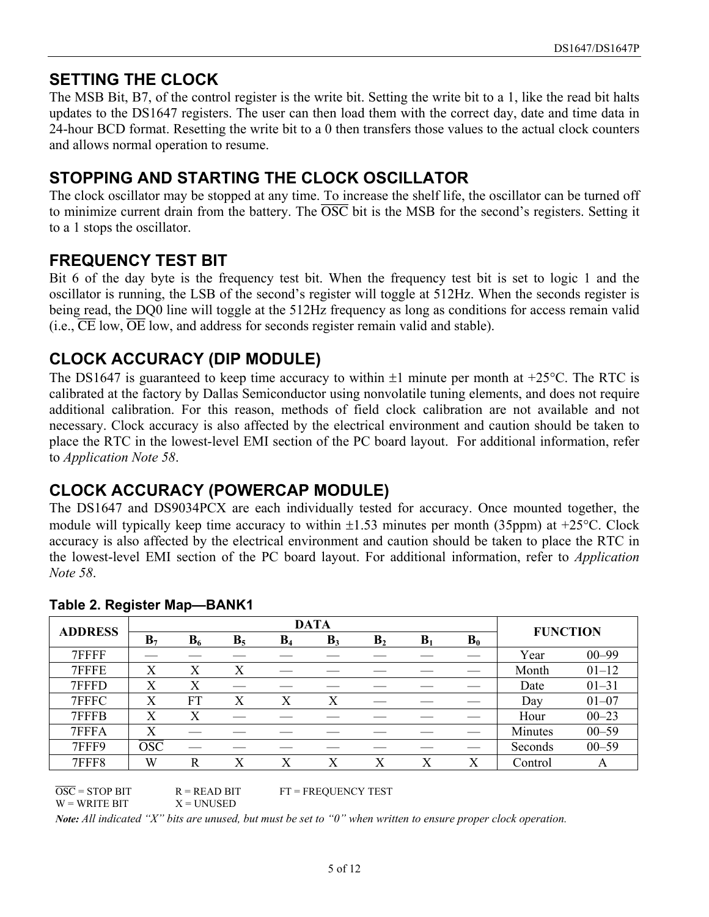#### **SETTING THE CLOCK**

The MSB Bit, B7, of the control register is the write bit. Setting the write bit to a 1, like the read bit halts updates to the DS1647 registers. The user can then load them with the correct day, date and time data in 24-hour BCD format. Resetting the write bit to a 0 then transfers those values to the actual clock counters and allows normal operation to resume.

#### **STOPPING AND STARTING THE CLOCK OSCILLATOR**

The clock oscillator may be stopped at any time. To increase the shelf life, the oscillator can be turned off to minimize current drain from the battery. The  $\overline{OSC}$  bit is the MSB for the second's registers. Setting it to a 1 stops the oscillator.

#### **FREQUENCY TEST BIT**

Bit 6 of the day byte is the frequency test bit. When the frequency test bit is set to logic 1 and the oscillator is running, the LSB of the second's register will toggle at 512Hz. When the seconds register is being read, the DQ0 line will toggle at the 512Hz frequency as long as conditions for access remain valid (i.e.,  $\overline{\text{CE}}$  low,  $\overline{\text{OE}}$  low, and address for seconds register remain valid and stable).

## **CLOCK ACCURACY (DIP MODULE)**

The DS1647 is guaranteed to keep time accuracy to within  $\pm 1$  minute per month at  $\pm 25^{\circ}$ C. The RTC is calibrated at the factory by Dallas Semiconductor using nonvolatile tuning elements, and does not require additional calibration. For this reason, methods of field clock calibration are not available and not necessary. Clock accuracy is also affected by the electrical environment and caution should be taken to place the RTC in the lowest-level EMI section of the PC board layout. For additional information, refer to *Application Note 58*.

## **CLOCK ACCURACY (POWERCAP MODULE)**

The DS1647 and DS9034PCX are each individually tested for accuracy. Once mounted together, the module will typically keep time accuracy to within  $\pm 1.53$  minutes per month (35ppm) at  $\pm 25^{\circ}$ C. Clock accuracy is also affected by the electrical environment and caution should be taken to place the RTC in the lowest-level EMI section of the PC board layout. For additional information, refer to *Application Note 58*.

| <b>ADDRESS</b> | <b>DATA</b>               |       |                |       |                |                |       |       |                 |           |
|----------------|---------------------------|-------|----------------|-------|----------------|----------------|-------|-------|-----------------|-----------|
|                | $B_7$                     | $B_6$ | B <sub>5</sub> | $B_4$ | B <sub>3</sub> | B <sub>2</sub> | $B_1$ | $B_0$ | <b>FUNCTION</b> |           |
| 7FFFF          |                           |       |                |       |                |                |       |       | Year            | $00 - 99$ |
| 7FFFE          | Χ                         | X     | Χ              |       |                |                |       |       | Month           | $01 - 12$ |
| 7FFFD          | Χ                         | Χ     |                |       |                |                |       |       | Date            | $01 - 31$ |
| 7FFFC          | Χ                         | FT    | X              | Х     | X              |                |       |       | Day             | $01 - 07$ |
| 7FFFB          | X                         | X     |                |       |                |                |       |       | Hour            | $00 - 23$ |
| 7FFFA          | X                         |       |                |       |                |                |       |       | Minutes         | $00 - 59$ |
| 7FFF9          | $\overline{\mathrm{OSC}}$ |       |                |       |                |                |       |       | Seconds         | $00 - 59$ |
| 7FFF8          | W                         | R     | X              | X     | X              | X              |       | Х     | Control         | A         |

#### **Table 2. Register Map—BANK1**

 $\overline{OSC}$  = STOP BIT R = READ BIT FT = FREQUENCY TEST  $W = W$ RITE BIT  $X = UNUSED$ 

*Note: All indicated "X" bits are unused, but must be set to "0" when written to ensure proper clock operation.*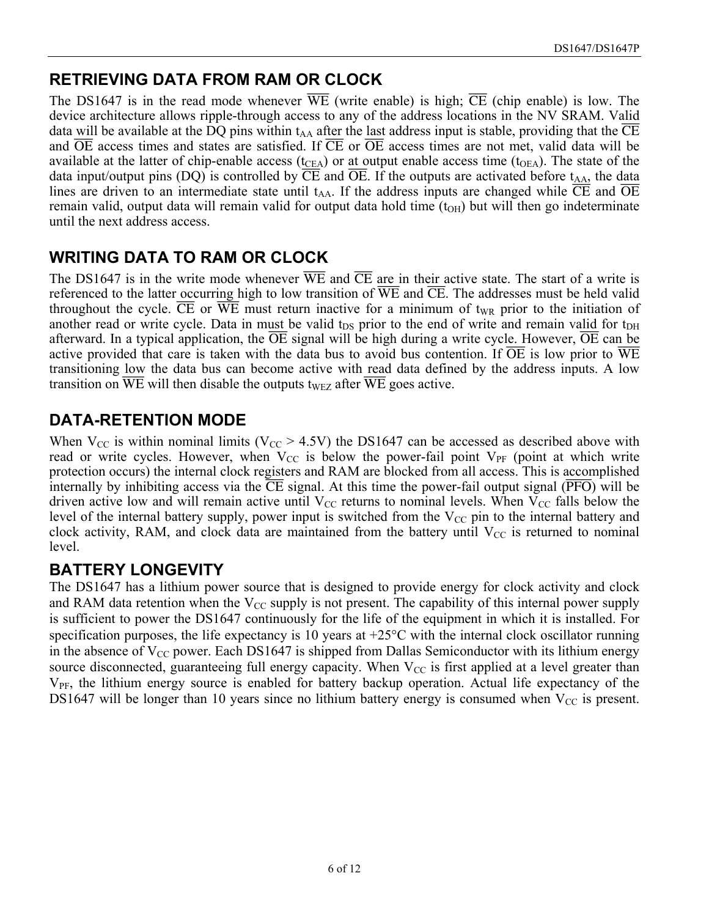## **RETRIEVING DATA FROM RAM OR CLOCK**

The DS1647 is in the read mode whenever  $\overline{WE}$  (write enable) is high;  $\overline{CE}$  (chip enable) is low. The device architecture allows ripple-through access to any of the address locations in the NV SRAM. Valid data will be available at the DQ pins within  $t_{AA}$  after the last address input is stable, providing that the CE and  $\overline{OE}$  access times and states are satisfied. If  $\overline{CE}$  or  $\overline{OE}$  access times are not met, valid data will be available at the latter of chip-enable access ( $t_{CEA}$ ) or at output enable access time ( $t_{OEA}$ ). The state of the data input/output pins (DQ) is controlled by  $\overline{CE}$  and  $\overline{OE}$ . If the outputs are activated before t<sub>AA</sub>, the data lines are driven to an intermediate state until t<sub>AA</sub>. If the address inputs are changed while  $\overline{CE}$  and  $\overline{OE}$ remain valid, output data will remain valid for output data hold time  $(t<sub>OH</sub>)$  but will then go indeterminate until the next address access.

## **WRITING DATA TO RAM OR CLOCK**

The DS1647 is in the write mode whenever  $\overline{WE}$  and  $\overline{CE}$  are in their active state. The start of a write is referenced to the latter occurring high to low transition of  $\overline{WE}$  and  $\overline{CE}$ . The addresses must be held valid throughout the cycle.  $\overline{CE}$  or  $\overline{WE}$  must return inactive for a minimum of t<sub>WR</sub> prior to the initiation of another read or write cycle. Data in must be valid t<sub>DS</sub> prior to the end of write and remain valid for t<sub>DH</sub> afterward. In a typical application, the  $\overline{OE}$  signal will be high during a write cycle. However,  $\overline{OE}$  can be active provided that care is taken with the data bus to avoid bus contention. If  $\overline{OE}$  is low prior to  $\overline{WE}$ transitioning low the data bus can become active with read data defined by the address inputs. A low transition on  $\overline{WE}$  will then disable the outputs t<sub>WEZ</sub> after  $\overline{WE}$  goes active.

## **DATA-RETENTION MODE**

When  $V_{CC}$  is within nominal limits ( $V_{CC} > 4.5V$ ) the DS1647 can be accessed as described above with read or write cycles. However, when  $V_{CC}$  is below the power-fail point  $V_{PF}$  (point at which write protection occurs) the internal clock registers and RAM are blocked from all access. This is accomplished internally by inhibiting access via the CE signal. At this time the power-fail output signal (PFO) will be driven active low and will remain active until  $V_{CC}$  returns to nominal levels. When  $V_{CC}$  falls below the level of the internal battery supply, power input is switched from the  $V_{CC}$  pin to the internal battery and clock activity, RAM, and clock data are maintained from the battery until  $V_{CC}$  is returned to nominal level.

## **BATTERY LONGEVITY**

The DS1647 has a lithium power source that is designed to provide energy for clock activity and clock and RAM data retention when the  $V_{CC}$  supply is not present. The capability of this internal power supply is sufficient to power the DS1647 continuously for the life of the equipment in which it is installed. For specification purposes, the life expectancy is 10 years at +25°C with the internal clock oscillator running in the absence of  $V_{CC}$  power. Each DS1647 is shipped from Dallas Semiconductor with its lithium energy source disconnected, guaranteeing full energy capacity. When  $V_{CC}$  is first applied at a level greater than  $V_{PF}$ , the lithium energy source is enabled for battery backup operation. Actual life expectancy of the DS1647 will be longer than 10 years since no lithium battery energy is consumed when  $V_{CC}$  is present.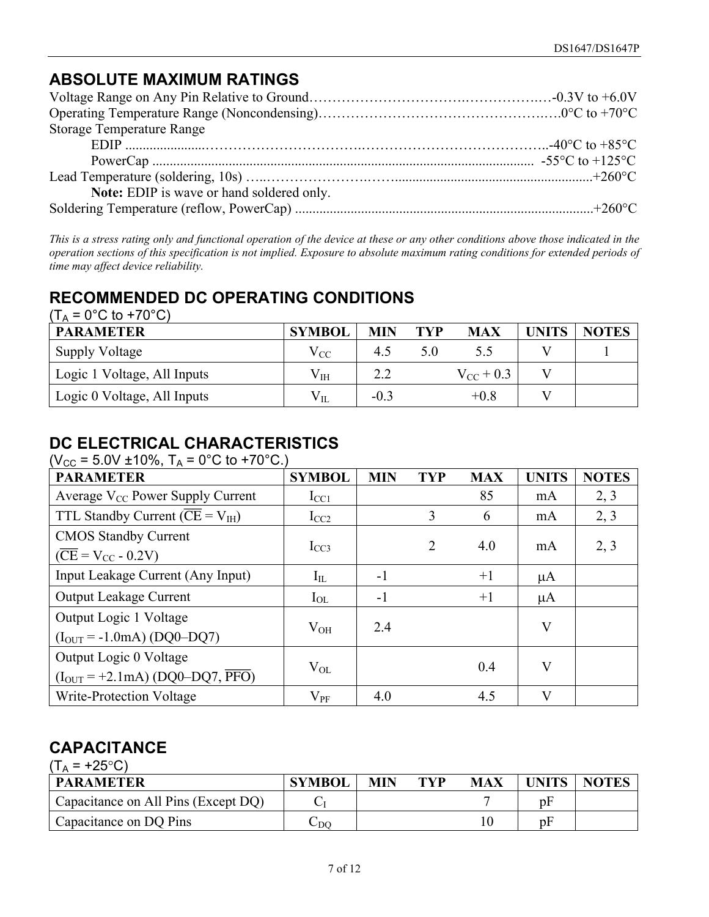## **ABSOLUTE MAXIMUM RATINGS**

| <b>Storage Temperature Range</b>          |  |
|-------------------------------------------|--|
|                                           |  |
|                                           |  |
|                                           |  |
| Note: EDIP is wave or hand soldered only. |  |
|                                           |  |

*This is a stress rating only and functional operation of the device at these or any other conditions above those indicated in the operation sections of this specification is not implied. Exposure to absolute maximum rating conditions for extended periods of time may affect device reliability.*

#### **RECOMMENDED DC OPERATING CONDITIONS**  $(T, = 0^{\circ}$ C to  $+70^{\circ}$ C)

| (IA – U U IO + / U U)       |               |            |     |                |       |              |
|-----------------------------|---------------|------------|-----|----------------|-------|--------------|
| <b>PARAMETER</b>            | <b>SYMBOL</b> | <b>MIN</b> | TYP | <b>MAX</b>     | UNITS | <b>NOTES</b> |
| <b>Supply Voltage</b>       | $\rm V_{CC}$  | 45         |     |                |       |              |
| Logic 1 Voltage, All Inputs | $\rm V_{IH}$  | 2.2        |     | $V_{CC}$ + 0.3 |       |              |
| Logic 0 Voltage, All Inputs | $V_{IL}$      | $-0.3$     |     | $+0.8$         |       |              |

## **DC ELECTRICAL CHARACTERISTICS**

(V<sub>CC</sub> = 5.0V ±10%, T<sub>A</sub> = 0°C to +70°C.)

| <b>PARAMETER</b>                                                                 | <b>SYMBOL</b> | <b>MIN</b> | <b>TYP</b>     | <b>MAX</b> | <b>UNITS</b>            | <b>NOTES</b> |
|----------------------------------------------------------------------------------|---------------|------------|----------------|------------|-------------------------|--------------|
| Average $V_{CC}$ Power Supply Current                                            | $I_{CC1}$     |            |                | 85         | mA                      | 2, 3         |
| TTL Standby Current ( $\overline{\text{CE}}$ = $V_{\text{IH}}$ )                 | $I_{CC2}$     |            | 3              | 6          | mA                      | 2, 3         |
| <b>CMOS Standby Current</b><br>$(\overline{\text{CE}}$ = V <sub>CC</sub> - 0.2V) | $I_{CC3}$     |            | $\overline{2}$ | 4.0        | mA                      | 2, 3         |
| Input Leakage Current (Any Input)                                                | $I_{IL}$      | $-1$       |                | $+1$       | $\mu A$                 |              |
| <b>Output Leakage Current</b>                                                    | $I_{OL}$      | -1         |                | $+1$       | $\mu A$                 |              |
| Output Logic 1 Voltage<br>$(I_{OUT} = -1.0mA) (DQ0-DQ7)$                         | $V_{OH}$      | 2.4        |                |            | $\overline{\mathsf{V}}$ |              |
| Output Logic 0 Voltage<br>$(IOUT = +2.1mA) (DQ0-DQ7, \overline{PFO})$            | $V_{OL}$      |            |                | 0.4        | V                       |              |
| Write-Protection Voltage                                                         | $V_{PF}$      | 4.0        |                | 4.5        | V                       |              |

## **CAPACITANCE**

 $(T_A = +25^{\circ}C)$ 

| <b>PARAMETER</b>                    | <b>SYMBOL</b> | <b>MIN</b> | TYP | <b>MAX</b> | <b>UNITS</b> | <b>NOTES</b> |
|-------------------------------------|---------------|------------|-----|------------|--------------|--------------|
| Capacitance on All Pins (Except DQ) |               |            |     |            | pF           |              |
| Capacitance on DQ Pins              | ∪DO           |            |     |            | pF           |              |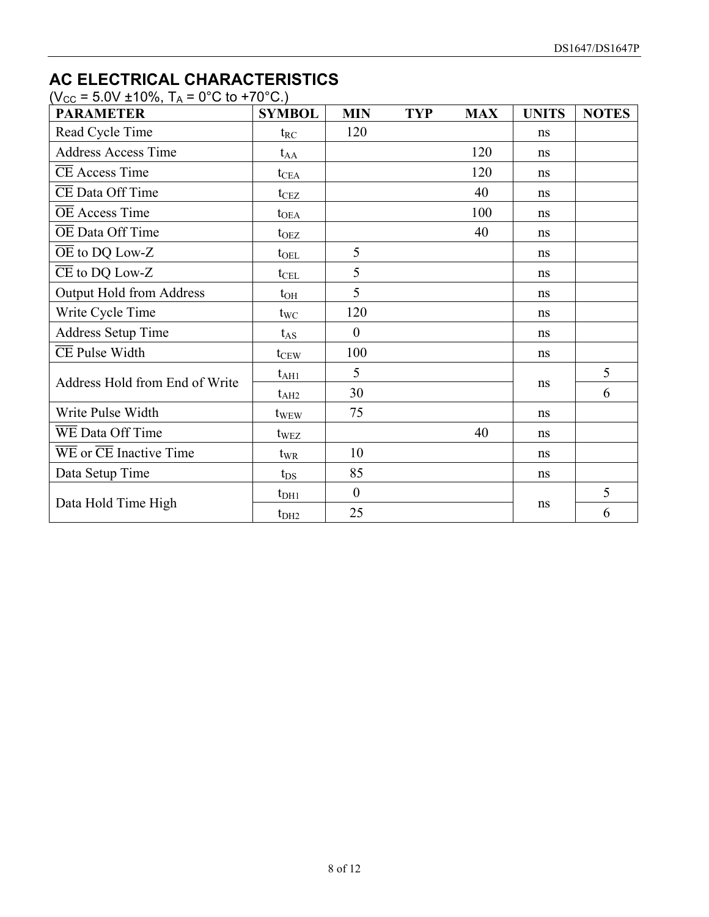## **AC ELECTRICAL CHARACTERISTICS**

 $(V_{CC} = 5.0V \pm 10\%, T_A = 0\degree C$  to +70°C.)

| <b>PARAMETER</b>                                               | <b>SYMBOL</b>    | <b>MIN</b>       | <b>TYP</b> | <b>MAX</b> | <b>UNITS</b> | <b>NOTES</b> |
|----------------------------------------------------------------|------------------|------------------|------------|------------|--------------|--------------|
| Read Cycle Time                                                | $t_{RC}$         | 120              |            |            | ns           |              |
| <b>Address Access Time</b>                                     | $t_{AA}$         |                  |            | 120        | ns           |              |
| <b>CE</b> Access Time                                          | $t_{\rm CEA}$    |                  |            | 120        | ns           |              |
| CE Data Off Time                                               | t <sub>CEZ</sub> |                  |            | 40         | ns           |              |
| <b>OE</b> Access Time                                          | $t_{OEA}$        |                  |            | 100        | ns           |              |
| OE Data Off Time                                               | $t_{\rm OEZ}$    |                  |            | 40         | ns           |              |
| $\overline{OE}$ to DQ Low-Z                                    | $t_{\rm OEL}$    | 5                |            |            | ns           |              |
| $\overline{\text{CE}}$ to DQ Low-Z                             | $t_{\text{CEL}}$ | 5                |            |            | ns           |              |
| <b>Output Hold from Address</b>                                | $t_{OH}$         | 5                |            |            | ns           |              |
| Write Cycle Time                                               | $t_{\text{WC}}$  | 120              |            |            | ns           |              |
| <b>Address Setup Time</b>                                      | $t_{AS}$         | $\overline{0}$   |            |            | ns           |              |
| <b>CE</b> Pulse Width                                          | $t_{CEW}$        | 100              |            |            | ns           |              |
| Address Hold from End of Write                                 | $t_{\rm AH1}$    | 5                |            |            |              | 5            |
|                                                                | $t_{\rm AH2}$    | 30               |            |            | ns           | 6            |
| Write Pulse Width                                              | t <sub>WEW</sub> | 75               |            |            | ns           |              |
| WE Data Off Time                                               | t <sub>WEZ</sub> |                  |            | 40         | ns           |              |
| $\overline{\text{WE}}$ or $\overline{\text{CE}}$ Inactive Time | $t_{WR}$         | 10               |            |            | ns           |              |
| Data Setup Time                                                | $t_{DS}$         | 85               |            |            | ns           |              |
|                                                                | $t_{DH1}$        | $\boldsymbol{0}$ |            |            |              | 5            |
| Data Hold Time High                                            | t <sub>DH2</sub> | 25               |            |            | ns           | 6            |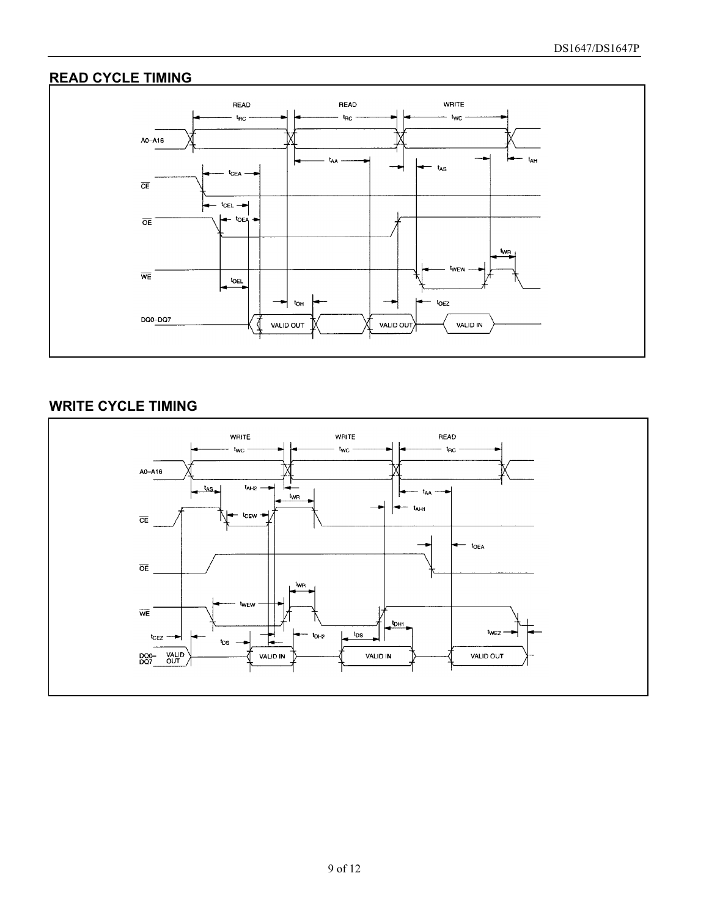#### **READ CYCLE TIMING**



#### **WRITE CYCLE TIMING**

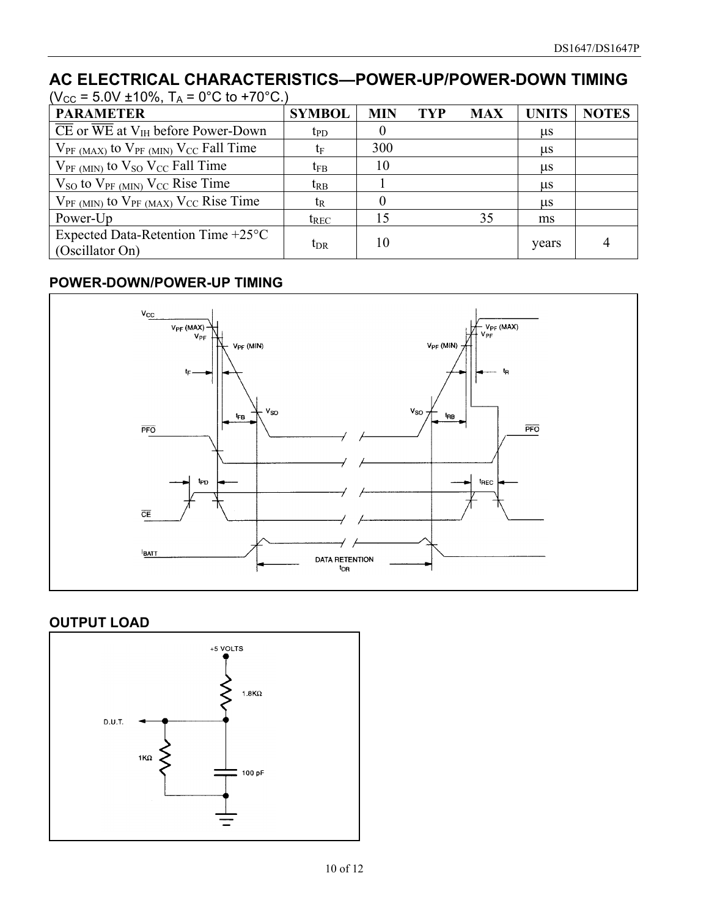#### AC ELECTRICAL CHARACTERISTICS—POWER-UP/POWER-DOWN TIMING  $S = 5.0V + 10\%$  T<sub>c</sub> = 0°C to +70°C.)

| (VCC = 3.0V ± 1070, TA = 0 C 10 + 7 0 C.)                       |                 |                  |            |            |         |              |
|-----------------------------------------------------------------|-----------------|------------------|------------|------------|---------|--------------|
| <b>PARAMETER</b>                                                | <b>SYMBOL</b>   | <b>MIN</b>       | <b>TYP</b> | <b>MAX</b> | UNITS   | <b>NOTES</b> |
| CE or WE at $V_{IH}$ before Power-Down                          | $t_{\rm PD}$    | 0                |            |            | $\mu$ s |              |
| $V_{PF (MAX)}$ to $V_{PF (MIN)} V_{CC}$ Fall Time               | tF              | 300              |            |            | $\mu$ s |              |
| $V_{PF (MIN)}$ to $V_{SO} V_{CC}$ Fall Time                     | t <sub>FB</sub> | 10               |            |            | $\mu$ s |              |
| $V_{SO}$ to $V_{PF \,(MIN)}$ $V_{CC}$ Rise Time                 | $t_{RB}$        |                  |            |            | $\mu$ s |              |
| $V_{PF (MIN)}$ to $V_{PF (MAX)}$ $V_{CC}$ Rise Time             | t <sub>R</sub>  | $\left( \right)$ |            |            | $\mu$ s |              |
| Power-Up                                                        | $t_{REC}$       | 15               |            | 35         | ms      |              |
| Expected Data-Retention Time $+25^{\circ}$ C<br>(Oscillator On) | $t_{DR}$        | 10               |            |            | years   |              |

#### **POWER-DOWN/POWER-UP TIMING**



#### **OUTPUT LOAD**

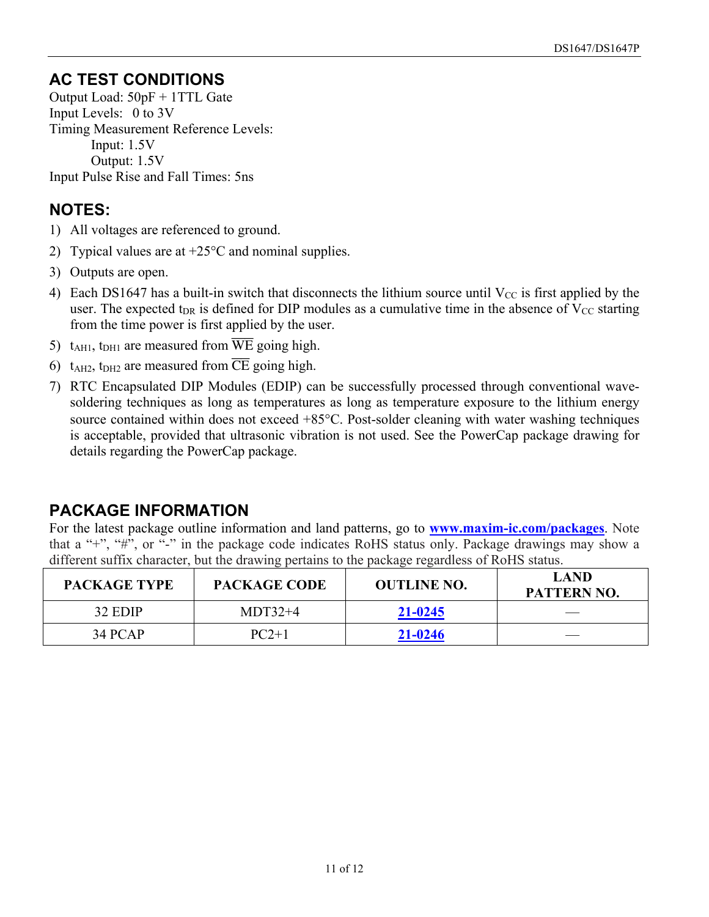## **AC TEST CONDITIONS**

Output Load: 50pF + 1TTL Gate Input Levels: 0 to 3V Timing Measurement Reference Levels: Input: 1.5V Output: 1.5V Input Pulse Rise and Fall Times: 5ns

## **NOTES:**

- 1) All voltages are referenced to ground.
- 2) Typical values are at  $+25^{\circ}$ C and nominal supplies.
- 3) Outputs are open.
- 4) Each DS1647 has a built-in switch that disconnects the lithium source until  $V_{CC}$  is first applied by the user. The expected t<sub>DR</sub> is defined for DIP modules as a cumulative time in the absence of  $V_{CC}$  starting from the time power is first applied by the user.
- 5)  $t_{\text{AHI}}$ ,  $t_{\text{DHI}}$  are measured from  $\overline{\text{WE}}$  going high.
- 6)  $t_{\text{A}H2}$ ,  $t_{\text{D}H2}$  are measured from  $\overline{\text{CE}}$  going high.
- 7) RTC Encapsulated DIP Modules (EDIP) can be successfully processed through conventional wavesoldering techniques as long as temperatures as long as temperature exposure to the lithium energy source contained within does not exceed +85°C. Post-solder cleaning with water washing techniques is acceptable, provided that ultrasonic vibration is not used. See the PowerCap package drawing for details regarding the PowerCap package.

## **PACKAGE INFORMATION**

For the latest package outline information and land patterns, go to **[www.maxim-ic.com/packages](http://www.maxim-ic.com/packages)**. Note that a "+", "#", or "-" in the package code indicates RoHS status only. Package drawings may show a different suffix character, but the drawing pertains to the package regardless of RoHS status.

| <b>PACKAGE TYPE</b> | <b>PACKAGE CODE</b> | <b>OUTLINE NO.</b> | <b>LAND</b><br>PATTERN NO. |
|---------------------|---------------------|--------------------|----------------------------|
| 32 EDIP             | $MDT32+4$           | 21-0245            |                            |
| 34 PCAP             | $PC2+1$             | 21-0246            |                            |